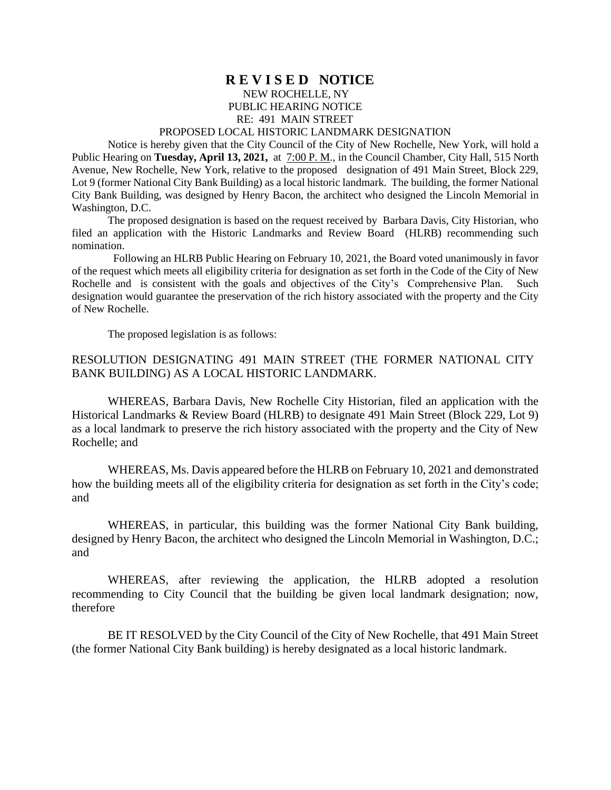## **R E V I S E D NOTICE** NEW ROCHELLE, NY PUBLIC HEARING NOTICE RE: 491 MAIN STREET

## PROPOSED LOCAL HISTORIC LANDMARK DESIGNATION

Notice is hereby given that the City Council of the City of New Rochelle, New York, will hold a Public Hearing on **Tuesday, April 13, 2021,** at  $7:00$  P. M., in the Council Chamber, City Hall, 515 North Avenue, New Rochelle, New York, relative to the proposed designation of 491 Main Street, Block 229, Lot 9 (former National City Bank Building) as a local historic landmark. The building, the former National City Bank Building, was designed by Henry Bacon, the architect who designed the Lincoln Memorial in Washington, D.C.

The proposed designation is based on the request received by Barbara Davis, City Historian, who filed an application with the Historic Landmarks and Review Board (HLRB) recommending such nomination.

 Following an HLRB Public Hearing on February 10, 2021, the Board voted unanimously in favor of the request which meets all eligibility criteria for designation as set forth in the Code of the City of New Rochelle and is consistent with the goals and objectives of the City's Comprehensive Plan. Such designation would guarantee the preservation of the rich history associated with the property and the City of New Rochelle.

The proposed legislation is as follows:

## RESOLUTION DESIGNATING 491 MAIN STREET (THE FORMER NATIONAL CITY BANK BUILDING) AS A LOCAL HISTORIC LANDMARK.

WHEREAS, Barbara Davis, New Rochelle City Historian, filed an application with the Historical Landmarks & Review Board (HLRB) to designate 491 Main Street (Block 229, Lot 9) as a local landmark to preserve the rich history associated with the property and the City of New Rochelle; and

WHEREAS, Ms. Davis appeared before the HLRB on February 10, 2021 and demonstrated how the building meets all of the eligibility criteria for designation as set forth in the City's code; and

WHEREAS, in particular, this building was the former National City Bank building, designed by Henry Bacon, the architect who designed the Lincoln Memorial in Washington, D.C.; and

WHEREAS, after reviewing the application, the HLRB adopted a resolution recommending to City Council that the building be given local landmark designation; now, therefore

BE IT RESOLVED by the City Council of the City of New Rochelle, that 491 Main Street (the former National City Bank building) is hereby designated as a local historic landmark.